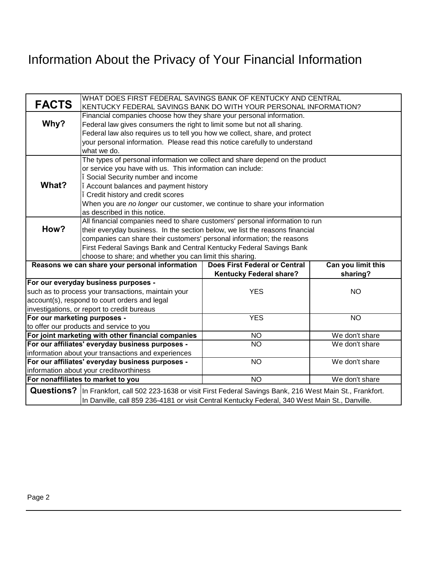## Information About the Privacy of Your Financial Information

| <b>FACTS</b>                                                                  | WHAT DOES FIRST FEDERAL SAVINGS BANK OF KENTUCKY AND CENTRAL<br>KENTUCKY FEDERAL SAVINGS BANK DO WITH YOUR PERSONAL INFORMATION?                       |                                      |                    |  |
|-------------------------------------------------------------------------------|--------------------------------------------------------------------------------------------------------------------------------------------------------|--------------------------------------|--------------------|--|
|                                                                               |                                                                                                                                                        |                                      |                    |  |
| Why?                                                                          | Financial companies choose how they share your personal information.                                                                                   |                                      |                    |  |
|                                                                               | Federal law gives consumers the right to limit some but not all sharing.                                                                               |                                      |                    |  |
|                                                                               | Federal law also requires us to tell you how we collect, share, and protect                                                                            |                                      |                    |  |
|                                                                               | your personal information. Please read this notice carefully to understand<br>what we do.                                                              |                                      |                    |  |
|                                                                               |                                                                                                                                                        |                                      |                    |  |
|                                                                               | The types of personal information we collect and share depend on the product<br>or service you have with us. This information can include:             |                                      |                    |  |
|                                                                               | Social Security number and income                                                                                                                      |                                      |                    |  |
| What?                                                                         | Account balances and payment history                                                                                                                   |                                      |                    |  |
|                                                                               | Credit history and credit scores                                                                                                                       |                                      |                    |  |
|                                                                               | When you are no longer our customer, we continue to share your information                                                                             |                                      |                    |  |
|                                                                               | as described in this notice.                                                                                                                           |                                      |                    |  |
|                                                                               | All financial companies need to share customers' personal information to run                                                                           |                                      |                    |  |
| How?                                                                          | their everyday business. In the section below, we list the reasons financial<br>companies can share their customers' personal information; the reasons |                                      |                    |  |
|                                                                               |                                                                                                                                                        |                                      |                    |  |
|                                                                               | First Federal Savings Bank and Central Kentucky Federal Savings Bank                                                                                   |                                      |                    |  |
|                                                                               | choose to share; and whether you can limit this sharing.                                                                                               |                                      |                    |  |
| Reasons we can share your personal information                                |                                                                                                                                                        | <b>Does First Federal or Central</b> | Can you limit this |  |
|                                                                               |                                                                                                                                                        | <b>Kentucky Federal share?</b>       | sharing?           |  |
| For our everyday business purposes -                                          |                                                                                                                                                        |                                      |                    |  |
|                                                                               | such as to process your transactions, maintain your                                                                                                    | <b>YES</b>                           | <b>NO</b>          |  |
| account(s), respond to court orders and legal                                 |                                                                                                                                                        |                                      |                    |  |
| investigations, or report to credit bureaus                                   |                                                                                                                                                        |                                      |                    |  |
| For our marketing purposes -                                                  |                                                                                                                                                        | <b>YES</b>                           | $\overline{NO}$    |  |
| to offer our products and service to you                                      |                                                                                                                                                        |                                      |                    |  |
| For joint marketing with other financial companies                            |                                                                                                                                                        | <b>NO</b>                            | We don't share     |  |
| For our affiliates' everyday business purposes -                              |                                                                                                                                                        | $\overline{NO}$                      | We don't share     |  |
| information about your transactions and experiences                           |                                                                                                                                                        |                                      |                    |  |
| For our affiliates' everyday business purposes -                              |                                                                                                                                                        | $\overline{NO}$                      | We don't share     |  |
| information about your creditworthiness<br>For nonaffiliates to market to you |                                                                                                                                                        |                                      |                    |  |
|                                                                               |                                                                                                                                                        | $\overline{NO}$                      | We don't share     |  |
| <b>Questions?</b>                                                             | In Frankfort, call 502 223-1638 or visit First Federal Savings Bank, 216 West Main St., Frankfort.                                                     |                                      |                    |  |
|                                                                               | In Danville, call 859 236-4181 or visit Central Kentucky Federal, 340 West Main St., Danville.                                                         |                                      |                    |  |